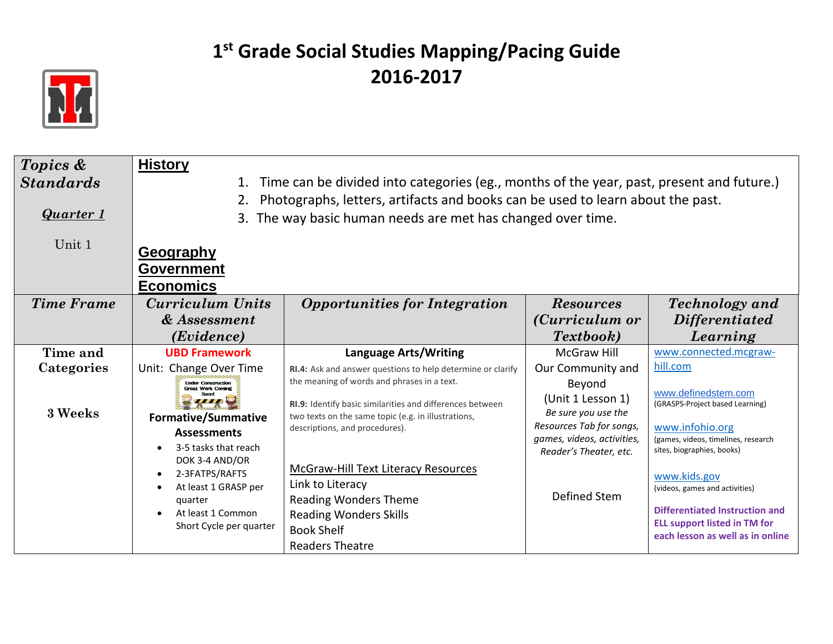

| Topics &          | <b>History</b>                                         |                                                                                          |                            |                                                                       |
|-------------------|--------------------------------------------------------|------------------------------------------------------------------------------------------|----------------------------|-----------------------------------------------------------------------|
| <b>Standards</b>  | 1.                                                     | Time can be divided into categories (eg., months of the year, past, present and future.) |                            |                                                                       |
|                   |                                                        | Photographs, letters, artifacts and books can be used to learn about the past.           |                            |                                                                       |
| Quarter 1         |                                                        | 3. The way basic human needs are met has changed over time.                              |                            |                                                                       |
|                   |                                                        |                                                                                          |                            |                                                                       |
| Unit 1            | <b>Geography</b>                                       |                                                                                          |                            |                                                                       |
|                   |                                                        |                                                                                          |                            |                                                                       |
|                   | <b>Government</b>                                      |                                                                                          |                            |                                                                       |
|                   | <b>Economics</b>                                       |                                                                                          |                            |                                                                       |
| <b>Time Frame</b> | Curriculum Units                                       | <b>Opportunities for Integration</b>                                                     | <b>Resources</b>           | <b>Technology</b> and                                                 |
|                   | & Assessment                                           |                                                                                          | (Curriculum or             | <i>Differentiated</i>                                                 |
|                   | ( <i>Evidence</i> )                                    |                                                                                          | <i>Textbook</i> )          | Learning                                                              |
| Time and          | <b>UBD Framework</b>                                   | <b>Language Arts/Writing</b>                                                             | <b>McGraw Hill</b>         | www.connected.mcgraw-                                                 |
| Categories        | Unit: Change Over Time                                 | RI.4: Ask and answer questions to help determine or clarify                              | Our Community and          | hill.com                                                              |
|                   | <b>Linder Construction</b><br><b>Great Work Coming</b> | the meaning of words and phrases in a text.                                              | Beyond                     |                                                                       |
|                   |                                                        | RI.9: Identify basic similarities and differences between                                | (Unit 1 Lesson 1)          | www.definedstem.com<br>(GRASPS-Project based Learning)                |
| 3 Weeks           | <b>Formative/Summative</b>                             | two texts on the same topic (e.g. in illustrations,                                      | Be sure you use the        |                                                                       |
|                   | <b>Assessments</b>                                     | descriptions, and procedures).                                                           | Resources Tab for songs,   | www.infohio.org                                                       |
|                   | 3-5 tasks that reach                                   |                                                                                          | games, videos, activities, | (games, videos, timelines, research<br>sites, biographies, books)     |
|                   | DOK 3-4 AND/OR                                         |                                                                                          | Reader's Theater, etc.     |                                                                       |
|                   | 2-3FATPS/RAFTS                                         | <b>McGraw-Hill Text Literacy Resources</b>                                               |                            | www.kids.gov                                                          |
|                   | At least 1 GRASP per                                   | Link to Literacy                                                                         |                            | (videos, games and activities)                                        |
|                   | quarter                                                | <b>Reading Wonders Theme</b>                                                             | Defined Stem               |                                                                       |
|                   | At least 1 Common                                      | <b>Reading Wonders Skills</b>                                                            |                            | Differentiated Instruction and<br><b>ELL support listed in TM for</b> |
|                   | Short Cycle per quarter                                | <b>Book Shelf</b>                                                                        |                            | each lesson as well as in online                                      |
|                   |                                                        | <b>Readers Theatre</b>                                                                   |                            |                                                                       |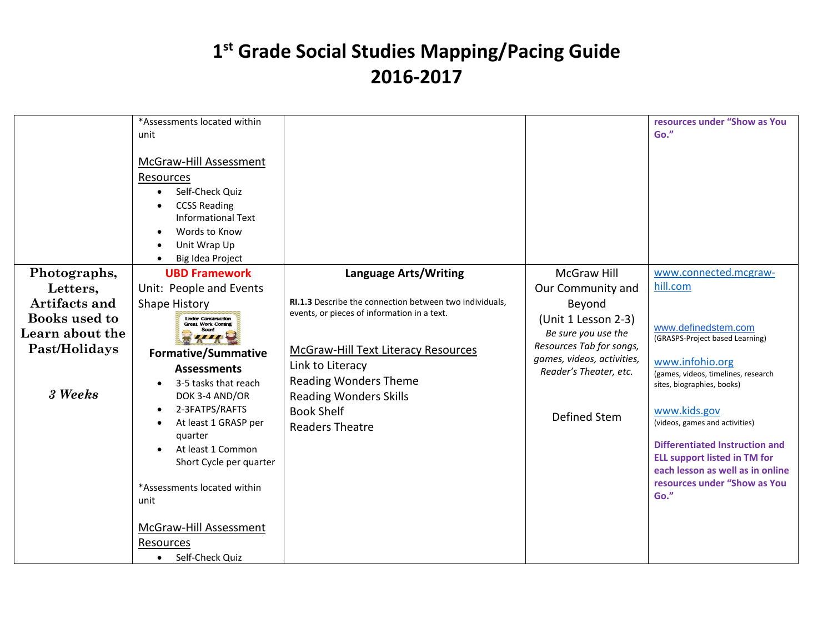|                                         | *Assessments located within<br>unit<br>McGraw-Hill Assessment<br>Resources<br>Self-Check Quiz<br><b>CCSS Reading</b><br><b>Informational Text</b><br>Words to Know<br>Unit Wrap Up<br>Big Idea Project |                                                                                                                                  |                                                                      | resources under "Show as You<br>Go."                                                                                                                                                                                                                       |
|-----------------------------------------|--------------------------------------------------------------------------------------------------------------------------------------------------------------------------------------------------------|----------------------------------------------------------------------------------------------------------------------------------|----------------------------------------------------------------------|------------------------------------------------------------------------------------------------------------------------------------------------------------------------------------------------------------------------------------------------------------|
| Photographs,                            | <b>UBD Framework</b>                                                                                                                                                                                   | <b>Language Arts/Writing</b>                                                                                                     | <b>McGraw Hill</b>                                                   | www.connected.mcgraw-                                                                                                                                                                                                                                      |
| Letters,                                | Unit: People and Events                                                                                                                                                                                |                                                                                                                                  | Our Community and                                                    | hill.com                                                                                                                                                                                                                                                   |
| Artifacts and                           | <b>Shape History</b>                                                                                                                                                                                   | RI.1.3 Describe the connection between two individuals,<br>events, or pieces of information in a text.                           | Beyond                                                               |                                                                                                                                                                                                                                                            |
| <b>Books</b> used to<br>Learn about the | <b>Under Construction</b><br><b>Great Work Coming</b>                                                                                                                                                  |                                                                                                                                  | (Unit 1 Lesson 2-3)<br>Be sure you use the                           | www.definedstem.com                                                                                                                                                                                                                                        |
| Past/Holidays                           | ,,,,                                                                                                                                                                                                   | McGraw-Hill Text Literacy Resources                                                                                              | Resources Tab for songs,                                             | (GRASPS-Project based Learning)                                                                                                                                                                                                                            |
| 3 Weeks                                 | <b>Formative/Summative</b><br><b>Assessments</b><br>3-5 tasks that reach<br>DOK 3-4 AND/OR<br>2-3FATPS/RAFTS<br>At least 1 GRASP per<br>quarter<br>At least 1 Common<br>Short Cycle per quarter        | Link to Literacy<br><b>Reading Wonders Theme</b><br><b>Reading Wonders Skills</b><br><b>Book Shelf</b><br><b>Readers Theatre</b> | games, videos, activities,<br>Reader's Theater, etc.<br>Defined Stem | www.infohio.org<br>(games, videos, timelines, research<br>sites, biographies, books)<br>www.kids.gov<br>(videos, games and activities)<br><b>Differentiated Instruction and</b><br><b>ELL support listed in TM for</b><br>each lesson as well as in online |
|                                         | *Assessments located within<br>unit<br>McGraw-Hill Assessment                                                                                                                                          |                                                                                                                                  |                                                                      | resources under "Show as You<br>Go."                                                                                                                                                                                                                       |
|                                         | Resources<br>Self-Check Quiz<br>$\bullet$                                                                                                                                                              |                                                                                                                                  |                                                                      |                                                                                                                                                                                                                                                            |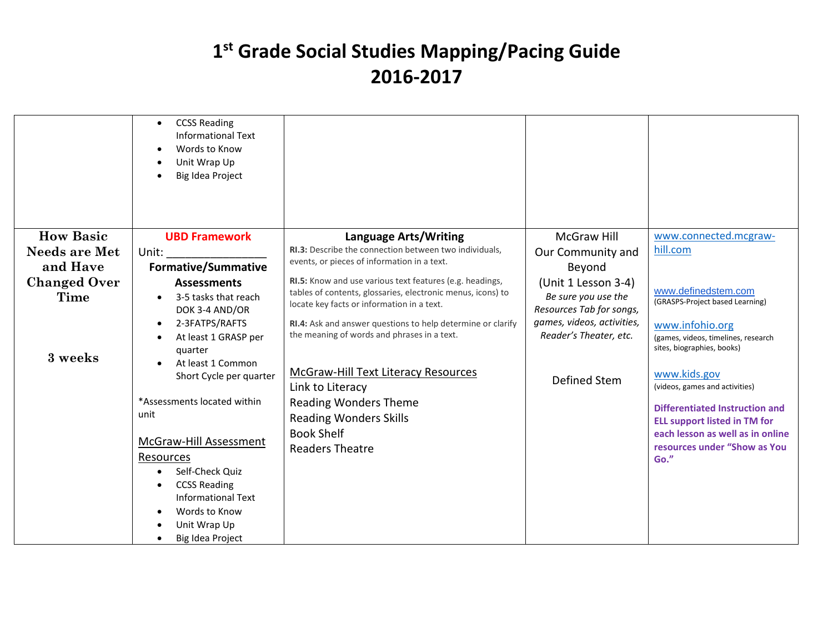|                      | <b>CCSS Reading</b><br>$\bullet$<br><b>Informational Text</b><br>Words to Know<br>$\bullet$<br>Unit Wrap Up<br>Big Idea Project<br>$\bullet$ |                                                                                                            |                                                      |                                                                                      |
|----------------------|----------------------------------------------------------------------------------------------------------------------------------------------|------------------------------------------------------------------------------------------------------------|------------------------------------------------------|--------------------------------------------------------------------------------------|
| <b>How Basic</b>     | <b>UBD Framework</b>                                                                                                                         | <b>Language Arts/Writing</b>                                                                               | <b>McGraw Hill</b>                                   | www.connected.mcgraw-                                                                |
| <b>Needs are Met</b> | Unit:                                                                                                                                        | <b>RI.3:</b> Describe the connection between two individuals.                                              | Our Community and                                    | hill.com                                                                             |
| and Have             | <b>Formative/Summative</b>                                                                                                                   | events, or pieces of information in a text.                                                                | Beyond                                               |                                                                                      |
| <b>Changed Over</b>  | <b>Assessments</b>                                                                                                                           | RI.5: Know and use various text features (e.g. headings,                                                   | (Unit 1 Lesson 3-4)                                  |                                                                                      |
| Time                 | 3-5 tasks that reach<br>DOK 3-4 AND/OR                                                                                                       | tables of contents, glossaries, electronic menus, icons) to<br>locate key facts or information in a text.  | Be sure you use the<br>Resources Tab for songs,      | www.definedstem.com<br>(GRASPS-Project based Learning)                               |
| 3 weeks              | 2-3FATPS/RAFTS<br>$\bullet$<br>At least 1 GRASP per<br>quarter                                                                               | RI.4: Ask and answer questions to help determine or clarify<br>the meaning of words and phrases in a text. | games, videos, activities,<br>Reader's Theater, etc. | www.infohio.org<br>(games, videos, timelines, research<br>sites, biographies, books) |
|                      | At least 1 Common<br>$\bullet$<br>Short Cycle per quarter                                                                                    | McGraw-Hill Text Literacy Resources<br>Link to Literacy                                                    | <b>Defined Stem</b>                                  | www.kids.gov<br>(videos, games and activities)                                       |
|                      | *Assessments located within<br>unit                                                                                                          | <b>Reading Wonders Theme</b><br><b>Reading Wonders Skills</b>                                              |                                                      | Differentiated Instruction and<br><b>ELL support listed in TM for</b>                |
|                      | McGraw-Hill Assessment                                                                                                                       | <b>Book Shelf</b>                                                                                          |                                                      | each lesson as well as in online<br>resources under "Show as You                     |
|                      | <b>Resources</b>                                                                                                                             | <b>Readers Theatre</b>                                                                                     |                                                      | Go."                                                                                 |
|                      | Self-Check Quiz                                                                                                                              |                                                                                                            |                                                      |                                                                                      |
|                      | <b>CCSS Reading</b><br>٠                                                                                                                     |                                                                                                            |                                                      |                                                                                      |
|                      | <b>Informational Text</b>                                                                                                                    |                                                                                                            |                                                      |                                                                                      |
|                      | Words to Know<br>Unit Wrap Up                                                                                                                |                                                                                                            |                                                      |                                                                                      |
|                      | Big Idea Project<br>٠                                                                                                                        |                                                                                                            |                                                      |                                                                                      |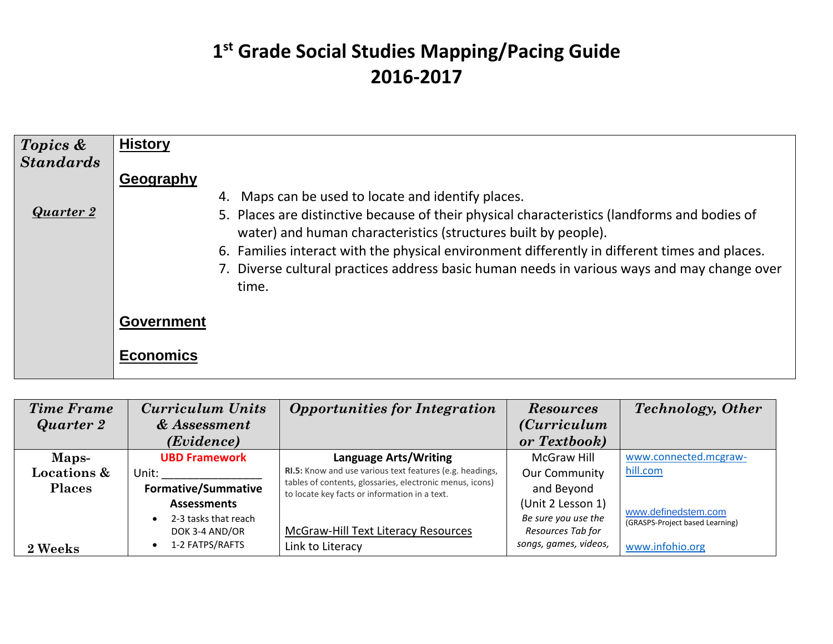| Topics &<br><b>Standards</b> | <b>History</b>                                                                                                                                                                                                                                                                                                                                                                                                                             |
|------------------------------|--------------------------------------------------------------------------------------------------------------------------------------------------------------------------------------------------------------------------------------------------------------------------------------------------------------------------------------------------------------------------------------------------------------------------------------------|
| <b>Quarter 2</b>             | Geography<br>4. Maps can be used to locate and identify places.<br>5. Places are distinctive because of their physical characteristics (landforms and bodies of<br>water) and human characteristics (structures built by people).<br>6. Families interact with the physical environment differently in different times and places.<br>7. Diverse cultural practices address basic human needs in various ways and may change over<br>time. |
|                              | <b>Government</b><br>Economics                                                                                                                                                                                                                                                                                                                                                                                                             |

| <b>Time Frame</b><br>Quarter 2        | <b>Curriculum Units</b><br>& Assessment<br>( <i>Evidence</i> )                                            | <b>Opportunities for Integration</b>                                                                                                                 | <b>Resources</b><br><i>(Curriculum</i> )<br>or Textbook)                               | <b>Technology</b> , Other                                                 |
|---------------------------------------|-----------------------------------------------------------------------------------------------------------|------------------------------------------------------------------------------------------------------------------------------------------------------|----------------------------------------------------------------------------------------|---------------------------------------------------------------------------|
| Maps-<br>Locations &<br><b>Places</b> | <b>UBD Framework</b><br>Unit:<br><b>Formative/Summative</b>                                               | <b>Language Arts/Writing</b><br>RI.5: Know and use various text features (e.g. headings,<br>tables of contents, glossaries, electronic menus, icons) | <b>McGraw Hill</b><br><b>Our Community</b><br>and Beyond                               | www.connected.mcgraw-<br>hill.com                                         |
| 2 Weeks                               | <b>Assessments</b><br>2-3 tasks that reach<br>$\bullet$<br>DOK 3-4 AND/OR<br>1-2 FATPS/RAFTS<br>$\bullet$ | to locate key facts or information in a text.<br>McGraw-Hill Text Literacy Resources<br>Link to Literacy                                             | (Unit 2 Lesson 1)<br>Be sure you use the<br>Resources Tab for<br>songs, games, videos, | www.definedstem.com<br>(GRASPS-Project based Learning)<br>www.infohio.org |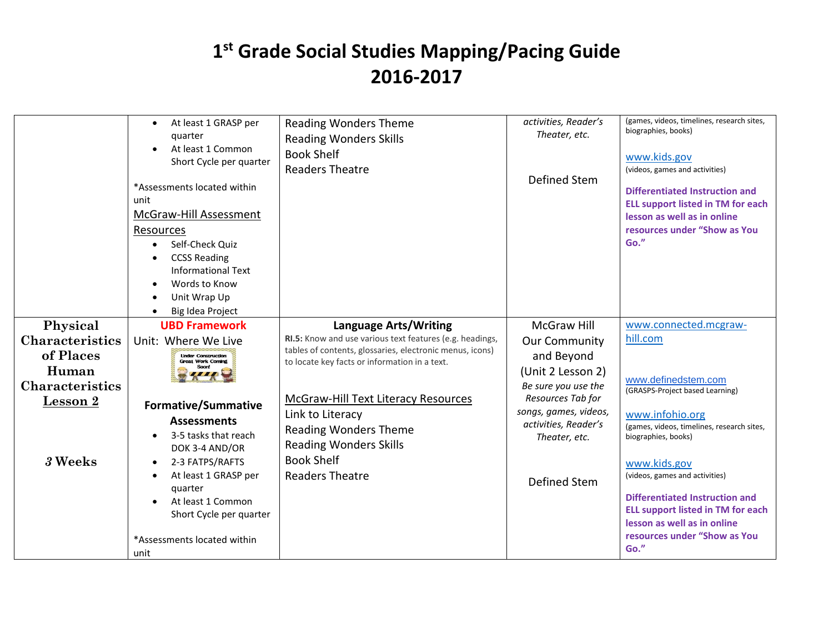|                                                 | At least 1 GRASP per<br>quarter<br>At least 1 Common<br>Short Cycle per quarter<br>*Assessments located within<br>unit<br>McGraw-Hill Assessment<br>Resources<br>Self-Check Quiz<br><b>CCSS Reading</b><br><b>Informational Text</b><br>Words to Know<br>Unit Wrap Up<br>Big Idea Project | <b>Reading Wonders Theme</b><br><b>Reading Wonders Skills</b><br><b>Book Shelf</b><br><b>Readers Theatre</b>                                                            | activities, Reader's<br>Theater, etc.<br>Defined Stem                          | (games, videos, timelines, research sites,<br>biographies, books)<br>www.kids.gov<br>(videos, games and activities)<br><b>Differentiated Instruction and</b><br><b>ELL support listed in TM for each</b><br>lesson as well as in online<br>resources under "Show as You<br>Go." |
|-------------------------------------------------|-------------------------------------------------------------------------------------------------------------------------------------------------------------------------------------------------------------------------------------------------------------------------------------------|-------------------------------------------------------------------------------------------------------------------------------------------------------------------------|--------------------------------------------------------------------------------|---------------------------------------------------------------------------------------------------------------------------------------------------------------------------------------------------------------------------------------------------------------------------------|
| Physical<br><b>Characteristics</b><br>of Places | <b>UBD Framework</b><br>Unit: Where We Live<br><b>Under Construction</b>                                                                                                                                                                                                                  | <b>Language Arts/Writing</b><br>RI.5: Know and use various text features (e.g. headings,<br>tables of contents, glossaries, electronic menus, icons)                    | <b>McGraw Hill</b><br><b>Our Community</b>                                     | www.connected.mcgraw-<br>hill.com                                                                                                                                                                                                                                               |
| Human<br><b>Characteristics</b>                 | <b>Great Work Coming</b>                                                                                                                                                                                                                                                                  | to locate key facts or information in a text.                                                                                                                           | and Beyond<br>(Unit 2 Lesson 2)<br>Be sure you use the<br>Resources Tab for    | www.definedstem.com<br>(GRASPS-Project based Learning)                                                                                                                                                                                                                          |
| Lesson 2<br>3 Weeks                             | <b>Formative/Summative</b><br><b>Assessments</b><br>3-5 tasks that reach<br>DOK 3-4 AND/OR<br>2-3 FATPS/RAFTS<br>At least 1 GRASP per                                                                                                                                                     | McGraw-Hill Text Literacy Resources<br>Link to Literacy<br><b>Reading Wonders Theme</b><br><b>Reading Wonders Skills</b><br><b>Book Shelf</b><br><b>Readers Theatre</b> | songs, games, videos,<br>activities, Reader's<br>Theater, etc.<br>Defined Stem | www.infohio.org<br>(games, videos, timelines, research sites,<br>biographies, books)<br>www.kids.gov<br>(videos, games and activities)                                                                                                                                          |
|                                                 | quarter<br>At least 1 Common<br>Short Cycle per quarter<br>*Assessments located within<br>unit                                                                                                                                                                                            |                                                                                                                                                                         |                                                                                | <b>Differentiated Instruction and</b><br><b>ELL support listed in TM for each</b><br>lesson as well as in online<br>resources under "Show as You<br>Go."                                                                                                                        |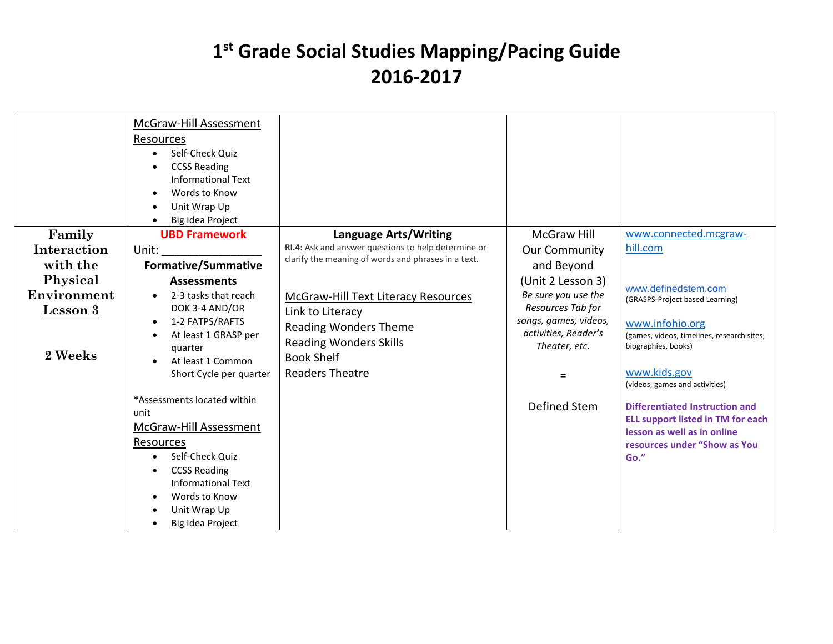|                 | McGraw-Hill Assessment<br>Resources<br>Self-Check Quiz<br>$\bullet$<br><b>CCSS Reading</b><br><b>Informational Text</b><br>Words to Know<br>$\bullet$<br>Unit Wrap Up<br>Big Idea Project |                                                     |                       |                                                                   |
|-----------------|-------------------------------------------------------------------------------------------------------------------------------------------------------------------------------------------|-----------------------------------------------------|-----------------------|-------------------------------------------------------------------|
| Family          | <b>UBD Framework</b>                                                                                                                                                                      | <b>Language Arts/Writing</b>                        | <b>McGraw Hill</b>    | www.connected.mcgraw-                                             |
| Interaction     | Unit:                                                                                                                                                                                     | RI.4: Ask and answer questions to help determine or | <b>Our Community</b>  | hill.com                                                          |
| with the        | <b>Formative/Summative</b>                                                                                                                                                                | clarify the meaning of words and phrases in a text. | and Beyond            |                                                                   |
| Physical        | <b>Assessments</b>                                                                                                                                                                        |                                                     | (Unit 2 Lesson 3)     |                                                                   |
| Environment     | 2-3 tasks that reach                                                                                                                                                                      | <b>McGraw-Hill Text Literacy Resources</b>          | Be sure you use the   | www.definedstem.com<br>(GRASPS-Project based Learning)            |
| <b>Lesson 3</b> | DOK 3-4 AND/OR                                                                                                                                                                            | Link to Literacy                                    | Resources Tab for     |                                                                   |
|                 | 1-2 FATPS/RAFTS<br>$\bullet$                                                                                                                                                              | <b>Reading Wonders Theme</b>                        | songs, games, videos, | www.infohio.org                                                   |
|                 | At least 1 GRASP per<br>$\bullet$                                                                                                                                                         | <b>Reading Wonders Skills</b>                       | activities, Reader's  | (games, videos, timelines, research sites,<br>biographies, books) |
| 2 Weeks         | quarter                                                                                                                                                                                   | <b>Book Shelf</b>                                   | Theater, etc.         |                                                                   |
|                 | At least 1 Common<br>Short Cycle per quarter                                                                                                                                              | <b>Readers Theatre</b>                              | $=$                   | www.kids.gov<br>(videos, games and activities)                    |
|                 | *Assessments located within                                                                                                                                                               |                                                     | Defined Stem          | Differentiated Instruction and                                    |
|                 | unit                                                                                                                                                                                      |                                                     |                       | <b>ELL support listed in TM for each</b>                          |
|                 | McGraw-Hill Assessment                                                                                                                                                                    |                                                     |                       | lesson as well as in online                                       |
|                 | Resources                                                                                                                                                                                 |                                                     |                       | resources under "Show as You                                      |
|                 | Self-Check Quiz                                                                                                                                                                           |                                                     |                       | Go."                                                              |
|                 | <b>CCSS Reading</b>                                                                                                                                                                       |                                                     |                       |                                                                   |
|                 | <b>Informational Text</b><br>Words to Know                                                                                                                                                |                                                     |                       |                                                                   |
|                 | Unit Wrap Up                                                                                                                                                                              |                                                     |                       |                                                                   |
|                 | Big Idea Project                                                                                                                                                                          |                                                     |                       |                                                                   |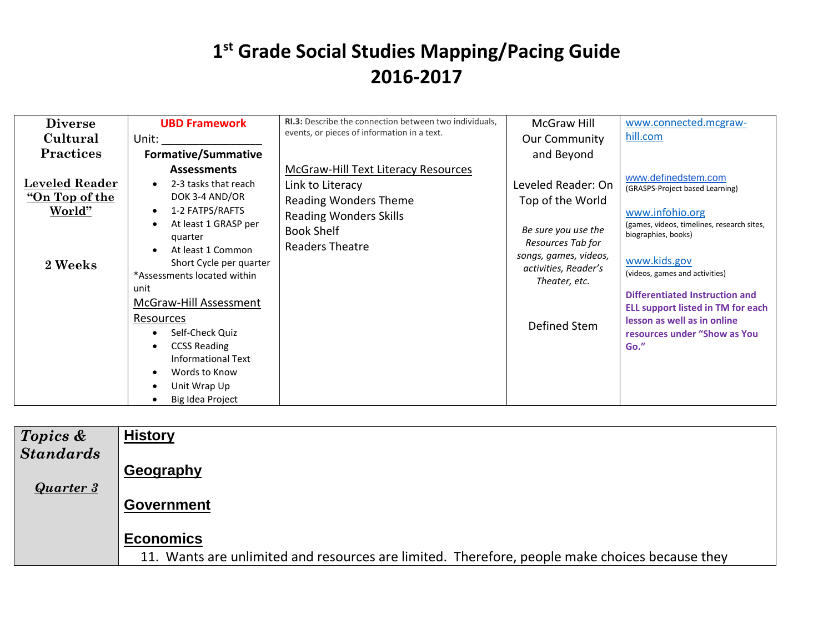| <b>Diverse</b>                                                      | <b>UBD Framework</b>                                                                                                                                                                                                                                                                                                                                                                                                | RI.3: Describe the connection between two individuals,                                                                                                                  | McGraw Hill                                                                                                                                                          | www.connected.mcgraw-                                                                                                                                                                                                                                                                                                                                 |
|---------------------------------------------------------------------|---------------------------------------------------------------------------------------------------------------------------------------------------------------------------------------------------------------------------------------------------------------------------------------------------------------------------------------------------------------------------------------------------------------------|-------------------------------------------------------------------------------------------------------------------------------------------------------------------------|----------------------------------------------------------------------------------------------------------------------------------------------------------------------|-------------------------------------------------------------------------------------------------------------------------------------------------------------------------------------------------------------------------------------------------------------------------------------------------------------------------------------------------------|
| Cultural                                                            | Unit:                                                                                                                                                                                                                                                                                                                                                                                                               | events, or pieces of information in a text.                                                                                                                             | <b>Our Community</b>                                                                                                                                                 | hill.com                                                                                                                                                                                                                                                                                                                                              |
| <b>Practices</b>                                                    | <b>Formative/Summative</b>                                                                                                                                                                                                                                                                                                                                                                                          |                                                                                                                                                                         | and Beyond                                                                                                                                                           |                                                                                                                                                                                                                                                                                                                                                       |
| <b>Leveled Reader</b><br><u>"On Top of the</u><br>World"<br>2 Weeks | <b>Assessments</b><br>2-3 tasks that reach<br>DOK 3-4 AND/OR<br>1-2 FATPS/RAFTS<br>$\bullet$<br>At least 1 GRASP per<br>$\bullet$<br>quarter<br>At least 1 Common<br>Short Cycle per quarter<br>*Assessments located within<br>unit<br>McGraw-Hill Assessment<br>Resources<br>Self-Check Quiz<br><b>CCSS Reading</b><br><b>Informational Text</b><br>Words to Know<br>$\bullet$<br>Unit Wrap Up<br>Big Idea Project | <b>McGraw-Hill Text Literacy Resources</b><br>Link to Literacy<br><b>Reading Wonders Theme</b><br><b>Reading Wonders Skills</b><br><b>Book Shelf</b><br>Readers Theatre | Leveled Reader: On<br>Top of the World<br>Be sure you use the<br>Resources Tab for<br>songs, games, videos,<br>activities, Reader's<br>Theater, etc.<br>Defined Stem | www.definedstem.com<br>(GRASPS-Project based Learning)<br>www.infohio.org<br>(games, videos, timelines, research sites,<br>biographies, books)<br>www.kids.gov<br>(videos, games and activities)<br>Differentiated Instruction and<br><b>ELL support listed in TM for each</b><br>lesson as well as in online<br>resources under "Show as You<br>Go." |

| Topics &         | <b>History</b>                                                                                 |
|------------------|------------------------------------------------------------------------------------------------|
| <b>Standards</b> | Geography                                                                                      |
| <b>Quarter 3</b> |                                                                                                |
|                  | <b>Government</b>                                                                              |
|                  | <b>Economics</b>                                                                               |
|                  | 11. Wants are unlimited and resources are limited. Therefore, people make choices because they |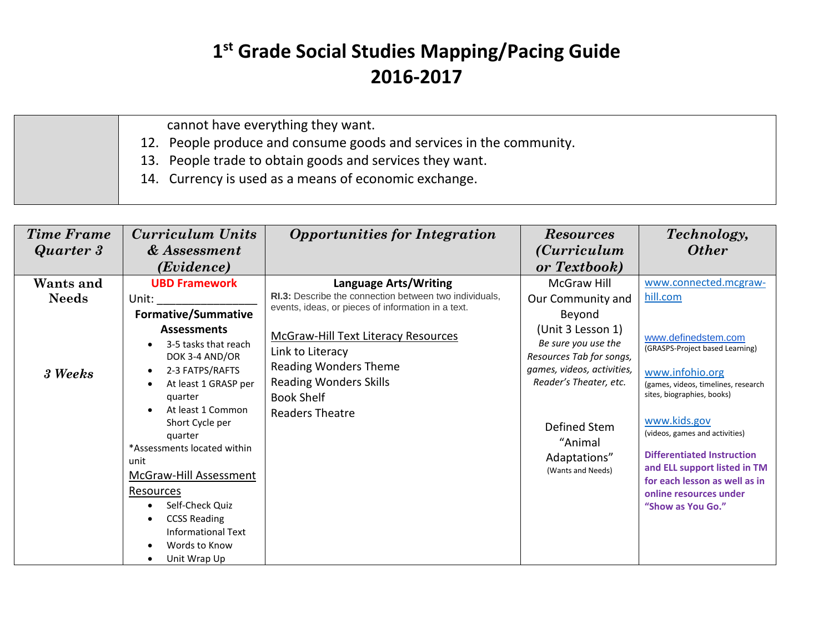cannot have everything they want.

12. People produce and consume goods and services in the community.

13. People trade to obtain goods and services they want.

14. Currency is used as a means of economic exchange.

| <b>Time Frame</b><br>Quarter 3       | <b>Curriculum Units</b><br>& Assessment<br>(Evidence)                                                                                                                                                                                                                                                                                                                                                                                                | <b>Opportunities for Integration</b>                                                                                                                                                                                                                                                                                    | <b>Resources</b><br><i>(Curriculum</i> )<br>or Textbook)                                                                                                                                                                                          | Technology,<br><b>Other</b>                                                                                                                                                                                                                                                                                                                                                                |
|--------------------------------------|------------------------------------------------------------------------------------------------------------------------------------------------------------------------------------------------------------------------------------------------------------------------------------------------------------------------------------------------------------------------------------------------------------------------------------------------------|-------------------------------------------------------------------------------------------------------------------------------------------------------------------------------------------------------------------------------------------------------------------------------------------------------------------------|---------------------------------------------------------------------------------------------------------------------------------------------------------------------------------------------------------------------------------------------------|--------------------------------------------------------------------------------------------------------------------------------------------------------------------------------------------------------------------------------------------------------------------------------------------------------------------------------------------------------------------------------------------|
| Wants and<br><b>Needs</b><br>3 Weeks | <b>UBD Framework</b><br>Unit:<br><b>Formative/Summative</b><br><b>Assessments</b><br>3-5 tasks that reach<br>DOK 3-4 AND/OR<br>2-3 FATPS/RAFTS<br>$\bullet$<br>At least 1 GRASP per<br>quarter<br>At least 1 Common<br>Short Cycle per<br>quarter<br>*Assessments located within<br>unit<br>McGraw-Hill Assessment<br>Resources<br>Self-Check Quiz<br><b>CCSS Reading</b><br>$\bullet$<br><b>Informational Text</b><br>Words to Know<br>Unit Wrap Up | <b>Language Arts/Writing</b><br>RI.3: Describe the connection between two individuals,<br>events, ideas, or pieces of information in a text.<br>McGraw-Hill Text Literacy Resources<br>Link to Literacy<br><b>Reading Wonders Theme</b><br><b>Reading Wonders Skills</b><br><b>Book Shelf</b><br><b>Readers Theatre</b> | <b>McGraw Hill</b><br>Our Community and<br>Beyond<br>(Unit 3 Lesson 1)<br>Be sure you use the<br>Resources Tab for songs,<br>games, videos, activities,<br>Reader's Theater, etc.<br>Defined Stem<br>"Animal<br>Adaptations"<br>(Wants and Needs) | www.connected.mcgraw-<br>hill.com<br>www.definedstem.com<br>(GRASPS-Project based Learning)<br>www.infohio.org<br>(games, videos, timelines, research<br>sites, biographies, books)<br>www.kids.gov<br>(videos, games and activities)<br><b>Differentiated Instruction</b><br>and ELL support listed in TM<br>for each lesson as well as in<br>online resources under<br>"Show as You Go." |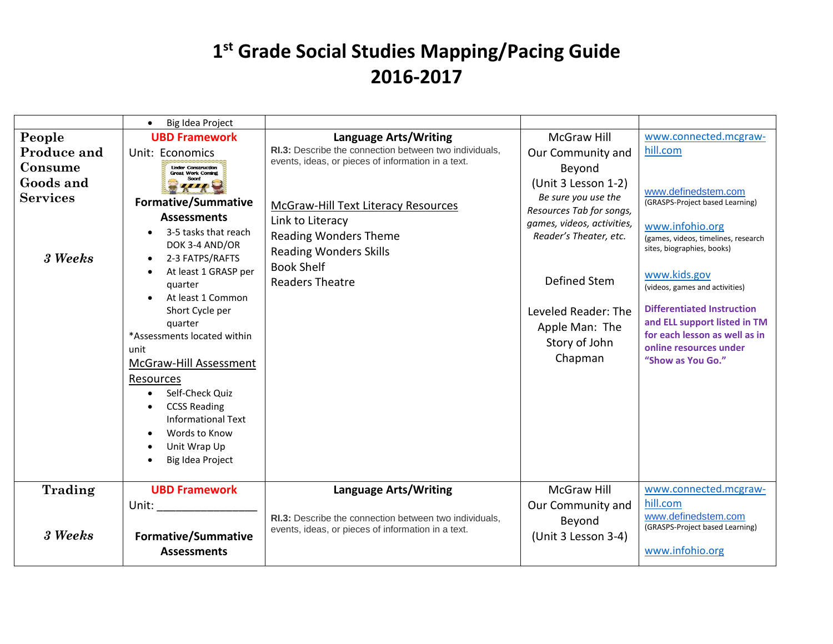|                                                                                    | Big Idea Project<br>$\bullet$                                                                                                                                                                                                                                                                                                                                                                                                      |                                                                                                                                                                                                                                                                                                                         |                                                                                                                                                                                                                                                                          |                                                                                                                                                                                                                                                                                                                                                                                            |
|------------------------------------------------------------------------------------|------------------------------------------------------------------------------------------------------------------------------------------------------------------------------------------------------------------------------------------------------------------------------------------------------------------------------------------------------------------------------------------------------------------------------------|-------------------------------------------------------------------------------------------------------------------------------------------------------------------------------------------------------------------------------------------------------------------------------------------------------------------------|--------------------------------------------------------------------------------------------------------------------------------------------------------------------------------------------------------------------------------------------------------------------------|--------------------------------------------------------------------------------------------------------------------------------------------------------------------------------------------------------------------------------------------------------------------------------------------------------------------------------------------------------------------------------------------|
| People<br><b>Produce and</b><br>Consume<br>Goods and<br><b>Services</b><br>3 Weeks | <b>UBD Framework</b><br>Unit: Economics<br><b>Under Construction</b><br><b>Great Work Coming</b><br><b>Formative/Summative</b><br><b>Assessments</b><br>3-5 tasks that reach<br>DOK 3-4 AND/OR<br>2-3 FATPS/RAFTS<br>$\bullet$<br>At least 1 GRASP per<br>quarter<br>At least 1 Common<br>Short Cycle per<br>quarter<br>*Assessments located within<br>unit<br>McGraw-Hill Assessment<br>Resources<br>Self-Check Quiz<br>$\bullet$ | <b>Language Arts/Writing</b><br>RI.3: Describe the connection between two individuals,<br>events, ideas, or pieces of information in a text.<br>McGraw-Hill Text Literacy Resources<br>Link to Literacy<br><b>Reading Wonders Theme</b><br><b>Reading Wonders Skills</b><br><b>Book Shelf</b><br><b>Readers Theatre</b> | <b>McGraw Hill</b><br>Our Community and<br>Beyond<br>(Unit 3 Lesson 1-2)<br>Be sure you use the<br>Resources Tab for songs,<br>games, videos, activities,<br>Reader's Theater, etc.<br>Defined Stem<br>Leveled Reader: The<br>Apple Man: The<br>Story of John<br>Chapman | www.connected.mcgraw-<br>hill.com<br>www.definedstem.com<br>(GRASPS-Project based Learning)<br>www.infohio.org<br>(games, videos, timelines, research<br>sites, biographies, books)<br>www.kids.gov<br>(videos, games and activities)<br><b>Differentiated Instruction</b><br>and ELL support listed in TM<br>for each lesson as well as in<br>online resources under<br>"Show as You Go." |
|                                                                                    | <b>CCSS Reading</b><br><b>Informational Text</b><br>Words to Know<br>Unit Wrap Up<br>Big Idea Project                                                                                                                                                                                                                                                                                                                              |                                                                                                                                                                                                                                                                                                                         |                                                                                                                                                                                                                                                                          |                                                                                                                                                                                                                                                                                                                                                                                            |
| Trading<br>3 Weeks                                                                 | <b>UBD Framework</b><br>Unit: The Unit<br><b>Formative/Summative</b><br><b>Assessments</b>                                                                                                                                                                                                                                                                                                                                         | <b>Language Arts/Writing</b><br>RI.3: Describe the connection between two individuals,<br>events, ideas, or pieces of information in a text.                                                                                                                                                                            | <b>McGraw Hill</b><br>Our Community and<br>Beyond<br>(Unit 3 Lesson 3-4)                                                                                                                                                                                                 | www.connected.mcgraw-<br>hill.com<br>www.definedstem.com<br>(GRASPS-Project based Learning)<br>www.infohio.org                                                                                                                                                                                                                                                                             |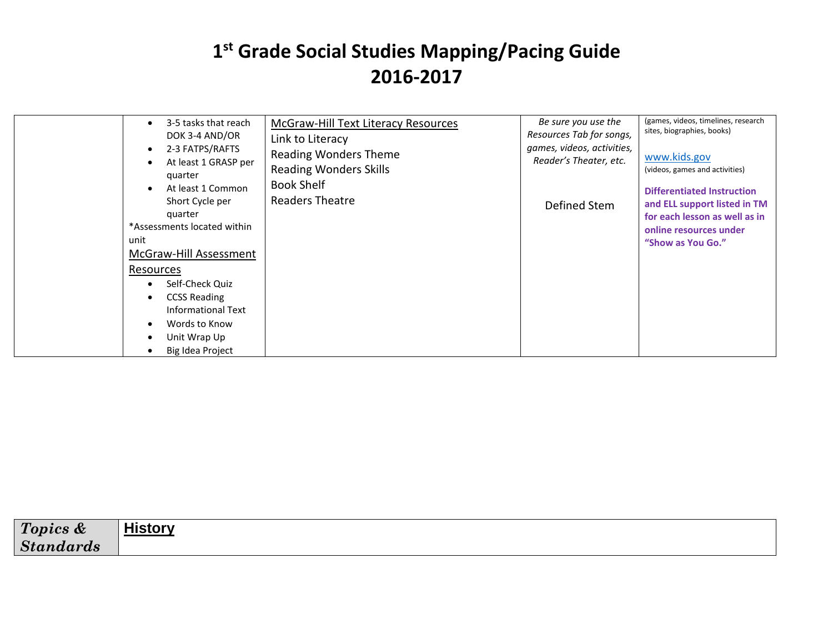| 2-3 FATPS/RAFTS<br>$\bullet$<br><b>Reading Wonders Theme</b><br>At least 1 GRASP per<br>$\bullet$<br><b>Reading Wonders Skills</b><br>quarter<br><b>Book Shelf</b><br>At least 1 Common<br>$\bullet$<br>Readers Theatre<br>Short Cycle per<br>quarter<br>*Assessments located within<br>unit<br>McGraw-Hill Assessment<br>Resources<br>Self-Check Quiz<br>٠<br><b>CCSS Reading</b><br>$\bullet$<br>Informational Text<br>Words to Know<br>$\bullet$<br>Unit Wrap Up<br>٠<br>Big Idea Project<br>٠ | Reader's Theater, etc.<br>Defined Stem | www.kids.gov<br>(videos, games and activities)<br><b>Differentiated Instruction</b><br>and ELL support listed in TM<br>for each lesson as well as in<br>online resources under<br>"Show as You Go." |
|---------------------------------------------------------------------------------------------------------------------------------------------------------------------------------------------------------------------------------------------------------------------------------------------------------------------------------------------------------------------------------------------------------------------------------------------------------------------------------------------------|----------------------------------------|-----------------------------------------------------------------------------------------------------------------------------------------------------------------------------------------------------|
|---------------------------------------------------------------------------------------------------------------------------------------------------------------------------------------------------------------------------------------------------------------------------------------------------------------------------------------------------------------------------------------------------------------------------------------------------------------------------------------------------|----------------------------------------|-----------------------------------------------------------------------------------------------------------------------------------------------------------------------------------------------------|

| $T_{\alpha n}$       | .         |
|----------------------|-----------|
| Topics &             | -4- - - - |
| <b>Sta</b><br>naaras |           |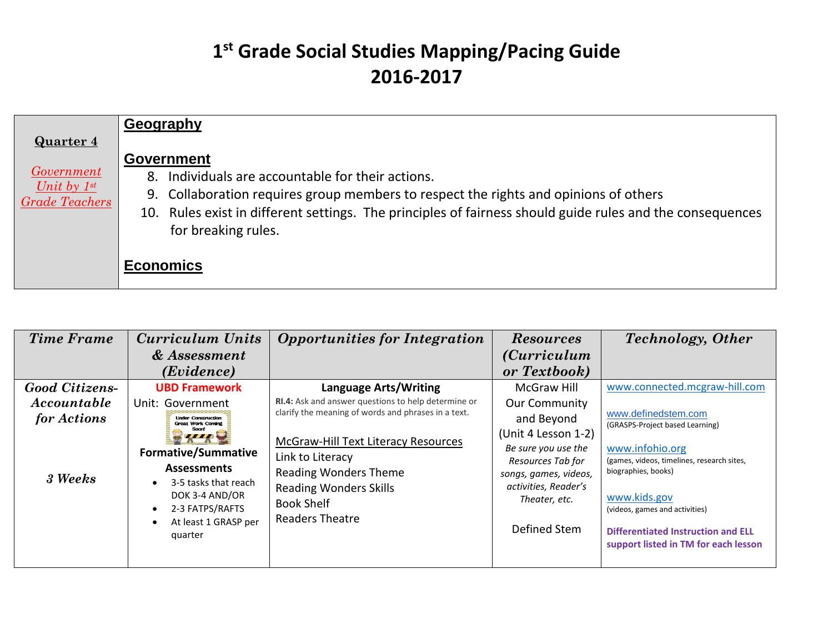|                                                                                    | Geography                                                                                                                                                                                                                                                                                          |
|------------------------------------------------------------------------------------|----------------------------------------------------------------------------------------------------------------------------------------------------------------------------------------------------------------------------------------------------------------------------------------------------|
| <b>Quarter 4</b><br><i>Government</i><br>Unit by $1^{st}$<br><b>Grade Teachers</b> | <b>Government</b><br>8. Individuals are accountable for their actions.<br>9. Collaboration requires group members to respect the rights and opinions of others<br>10. Rules exist in different settings. The principles of fairness should guide rules and the consequences<br>for breaking rules. |
|                                                                                    | <b>Economics</b>                                                                                                                                                                                                                                                                                   |

| <b>Time Frame</b>     | <b>Curriculum Units</b>                                                                                                                          | <b>Opportunities for Integration</b>                                                                                                                             | <b>Resources</b>                                                                                                                                  | <b>Technology</b> , Other                                                                                                                                                                                                   |
|-----------------------|--------------------------------------------------------------------------------------------------------------------------------------------------|------------------------------------------------------------------------------------------------------------------------------------------------------------------|---------------------------------------------------------------------------------------------------------------------------------------------------|-----------------------------------------------------------------------------------------------------------------------------------------------------------------------------------------------------------------------------|
|                       | & Assessment                                                                                                                                     |                                                                                                                                                                  | <i>(Curriculum</i> )                                                                                                                              |                                                                                                                                                                                                                             |
|                       | (Evidence)                                                                                                                                       |                                                                                                                                                                  | or Textbook)                                                                                                                                      |                                                                                                                                                                                                                             |
| <b>Good Citizens-</b> | <b>UBD Framework</b>                                                                                                                             | <b>Language Arts/Writing</b>                                                                                                                                     | <b>McGraw Hill</b>                                                                                                                                | www.connected.mcgraw-hill.com                                                                                                                                                                                               |
| Accountable           | Unit: Government                                                                                                                                 | <b>RI.4:</b> Ask and answer questions to help determine or                                                                                                       | <b>Our Community</b>                                                                                                                              |                                                                                                                                                                                                                             |
| for Actions           | <b>Under Construction</b><br><b>Great Work Coming</b>                                                                                            | clarify the meaning of words and phrases in a text.                                                                                                              | and Beyond                                                                                                                                        | www.definedstem.com<br>(GRASPS-Project based Learning)                                                                                                                                                                      |
| 3 Weeks               | <b>Formative/Summative</b><br><b>Assessments</b><br>3-5 tasks that reach<br>DOK 3-4 AND/OR<br>2-3 FATPS/RAFTS<br>At least 1 GRASP per<br>quarter | McGraw-Hill Text Literacy Resources<br>Link to Literacy<br>Reading Wonders Theme<br><b>Reading Wonders Skills</b><br><b>Book Shelf</b><br><b>Readers Theatre</b> | (Unit 4 Lesson 1-2)<br>Be sure you use the<br>Resources Tab for<br>songs, games, videos,<br>activities, Reader's<br>Theater, etc.<br>Defined Stem | www.infohio.org<br>(games, videos, timelines, research sites,<br>biographies, books)<br>www.kids.gov<br>(videos, games and activities)<br><b>Differentiated Instruction and ELL</b><br>support listed in TM for each lesson |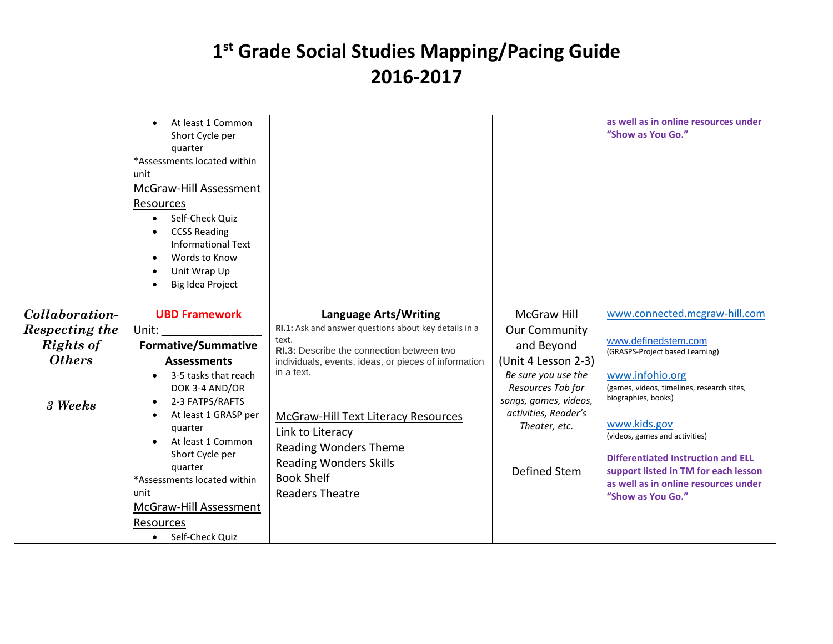|                  | At least 1 Common<br>Short Cycle per<br>quarter<br>*Assessments located within<br>unit<br>McGraw-Hill Assessment<br>Resources<br>Self-Check Quiz<br>$\bullet$<br><b>CCSS Reading</b><br><b>Informational Text</b><br>Words to Know<br>$\bullet$<br>Unit Wrap Up<br>$\bullet$<br>Big Idea Project<br>$\bullet$ |                                                         |                                            | as well as in online resources under<br>"Show as You Go."         |
|------------------|---------------------------------------------------------------------------------------------------------------------------------------------------------------------------------------------------------------------------------------------------------------------------------------------------------------|---------------------------------------------------------|--------------------------------------------|-------------------------------------------------------------------|
| Collaboration-   | <b>UBD Framework</b>                                                                                                                                                                                                                                                                                          | <b>Language Arts/Writing</b>                            | McGraw Hill                                | www.connected.mcgraw-hill.com                                     |
| Respecting the   | Unit:                                                                                                                                                                                                                                                                                                         | RI.1: Ask and answer questions about key details in a   | <b>Our Community</b>                       |                                                                   |
| <b>Rights of</b> | <b>Formative/Summative</b>                                                                                                                                                                                                                                                                                    | text.<br>RI.3: Describe the connection between two      | and Beyond                                 | www.definedstem.com<br>(GRASPS-Project based Learning)            |
| <b>Others</b>    | <b>Assessments</b>                                                                                                                                                                                                                                                                                            | individuals, events, ideas, or pieces of information    | (Unit 4 Lesson 2-3)                        |                                                                   |
|                  | 3-5 tasks that reach<br>$\bullet$                                                                                                                                                                                                                                                                             | in a text.                                              | Be sure you use the                        | www.infohio.org                                                   |
|                  | DOK 3-4 AND/OR                                                                                                                                                                                                                                                                                                |                                                         | Resources Tab for<br>songs, games, videos, | (games, videos, timelines, research sites,<br>biographies, books) |
| 3 Weeks          | 2-3 FATPS/RAFTS<br>$\bullet$<br>At least 1 GRASP per<br>$\bullet$                                                                                                                                                                                                                                             |                                                         | activities, Reader's                       |                                                                   |
|                  | quarter                                                                                                                                                                                                                                                                                                       | McGraw-Hill Text Literacy Resources<br>Link to Literacy | Theater, etc.                              | www.kids.gov                                                      |
|                  | At least 1 Common                                                                                                                                                                                                                                                                                             | <b>Reading Wonders Theme</b>                            |                                            | (videos, games and activities)                                    |
|                  | Short Cycle per                                                                                                                                                                                                                                                                                               | <b>Reading Wonders Skills</b>                           |                                            | <b>Differentiated Instruction and ELL</b>                         |
|                  | quarter<br>*Assessments located within                                                                                                                                                                                                                                                                        | <b>Book Shelf</b>                                       | Defined Stem                               | support listed in TM for each lesson                              |
|                  | unit                                                                                                                                                                                                                                                                                                          | <b>Readers Theatre</b>                                  |                                            | as well as in online resources under<br>"Show as You Go."         |
|                  | McGraw-Hill Assessment                                                                                                                                                                                                                                                                                        |                                                         |                                            |                                                                   |
|                  | Resources                                                                                                                                                                                                                                                                                                     |                                                         |                                            |                                                                   |
|                  | Self-Check Quiz<br>$\bullet$                                                                                                                                                                                                                                                                                  |                                                         |                                            |                                                                   |